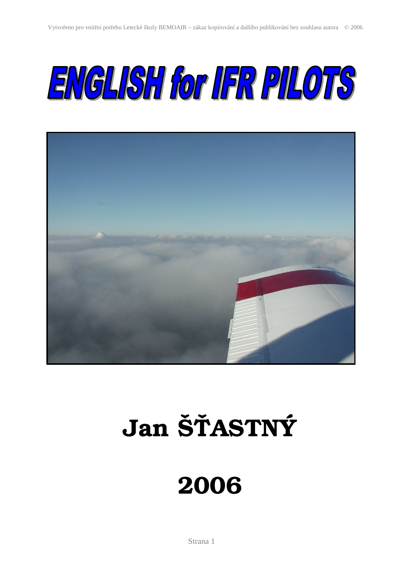



# Jan Š**Ť**ASTNÝ

## 2006

Strana 1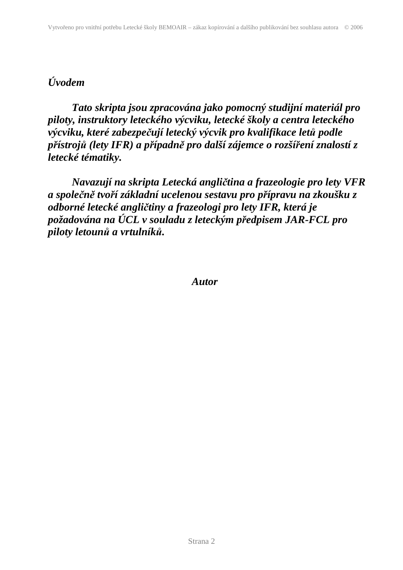## *Úvodem*

*Tato skripta jsou zpracována jako pomocný studijní materiál pro piloty, instruktory leteckého výcviku, letecké školy a centra leteckého výcviku, které zabezpečují letecký výcvik pro kvalifikace letů podle přístrojů (lety IFR) a případně pro další zájemce o rozšíření znalostí z letecké tématiky.* 

 *Navazují na skripta Letecká angličtina a frazeologie pro lety VFR a společně tvoří základní ucelenou sestavu pro přípravu na zkoušku z odborné letecké angličtiny a frazeologi pro lety IFR, která je požadována na ÚCL v souladu z leteckým předpisem JAR-FCL pro piloty letounů a vrtulníků.* 

 *Autor*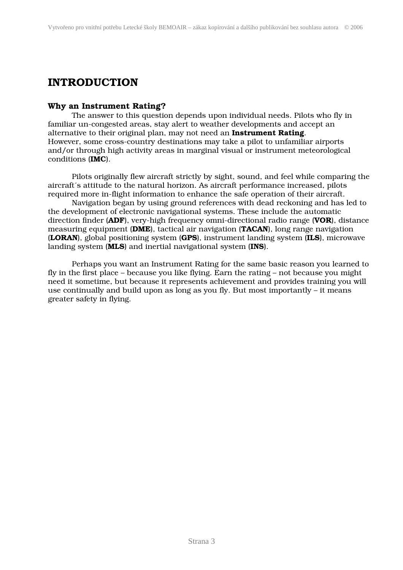### INTRODUCTION

#### Why an Instrument Rating?

The answer to this question depends upon individual needs. Pilots who fly in familiar un-congested areas, stay alert to weather developments and accept an alternative to their original plan, may not need an **Instrument Rating**. However, some cross-country destinations may take a pilot to unfamiliar airports and/or through high activity areas in marginal visual or instrument meteorological conditions (IMC).

Pilots originally flew aircraft strictly by sight, sound, and feel while comparing the aircraft´s attitude to the natural horizon. As aircraft performance increased, pilots required more in-flight information to enhance the safe operation of their aircraft.

 Navigation began by using ground references with dead reckoning and has led to the development of electronic navigational systems. These include the automatic direction finder (ADF), very-high frequency omni-directional radio range (VOR), distance measuring equipment (DME), tactical air navigation (TACAN), long range navigation (LORAN), global positioning system (GPS), instrument landing system (ILS), microwave landing system (**MLS**) and inertial navigational system (**INS**).

 Perhaps you want an Instrument Rating for the same basic reason you learned to fly in the first place – because you like flying. Earn the rating – not because you might need it sometime, but because it represents achievement and provides training you will use continually and build upon as long as you fly. But most importantly – it means greater safety in flying.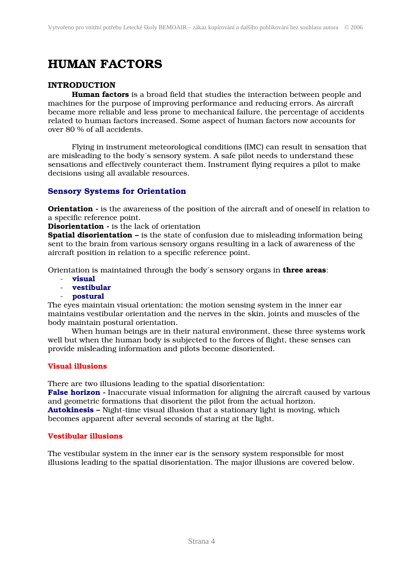## HUMAN FACTORS

#### INTRODUCTION

Human factors is a broad field that studies the interaction between people and machines for the purpose of improving performance and reducing errors. As aircraft became more reliable and less prone to mechanical failure, the percentage of accidents related to human factors increased. Some aspect of human factors now accounts for over 80 % of all accidents.

Flying in instrument meteorological conditions (IMC) can result in sensation that are misleading to the body´s sensory system. A safe pilot needs to understand these sensations and effectively counteract them. Instrument flying requires a pilot to make decisions using all available resources.

#### Sensory Systems for Orientation

**Orientation -** is the awareness of the position of the aircraft and of oneself in relation to a specific reference point.

Disorientation - is the lack of orientation

**Spatial disorientation –** is the state of confusion due to misleading information being sent to the brain from various sensory organs resulting in a lack of awareness of the aircraft position in relation to a specific reference point.

Orientation is maintained through the body's sensory organs in **three areas**:

- visual
- vestibular
- postural

The eyes maintain visual orientation; the motion sensing system in the inner ear maintains vestibular orientation and the nerves in the skin, joints and muscles of the body maintain postural orientation.

 When human beings are in their natural environment, these three systems work well but when the human body is subjected to the forces of flight, these senses can provide misleading information and pilots become disoriented.

#### Visual illusions

There are two illusions leading to the spatial disorientation:

False horizon - Inaccurate visual information for aligning the aircraft caused by various and geometric formations that disorient the pilot from the actual horizon. Autokinesis – Night-time visual illusion that a stationary light is moving, which becomes apparent after several seconds of staring at the light.

#### Vestibular illusions

The vestibular system in the inner ear is the sensory system responsible for most illusions leading to the spatial disorientation. The major illusions are covered below.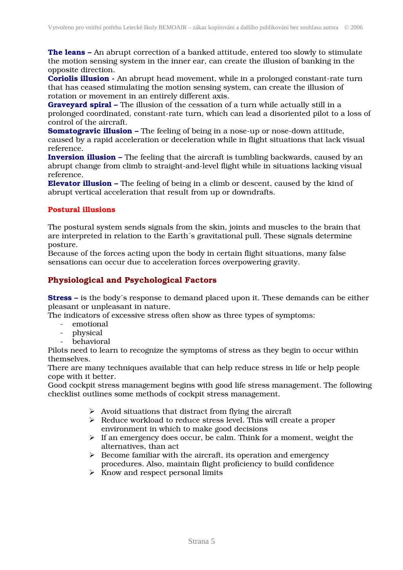The leans – An abrupt correction of a banked attitude, entered too slowly to stimulate the motion sensing system in the inner ear, can create the illusion of banking in the opposite direction.

Coriolis illusion - An abrupt head movement, while in a prolonged constant-rate turn that has ceased stimulating the motion sensing system, can create the illusion of rotation or movement in an entirely different axis.

Graveyard spiral – The illusion of the cessation of a turn while actually still in a prolonged coordinated, constant-rate turn, which can lead a disoriented pilot to a loss of control of the aircraft.

**Somatogravic illusion –** The feeling of being in a nose-up or nose-down attitude, caused by a rapid acceleration or deceleration while in flight situations that lack visual reference.

**Inversion illusion –** The feeling that the aircraft is tumbling backwards, caused by an abrupt change from climb to straight-and-level flight while in situations lacking visual reference.

Elevator illusion – The feeling of being in a climb or descent, caused by the kind of abrupt vertical acceleration that result from up or downdrafts.

#### Postural illusions

The postural system sends signals from the skin, joints and muscles to the brain that are interpreted in relation to the Earth´s gravitational pull. These signals determine posture.

Because of the forces acting upon the body in certain flight situations, many false sensations can occur due to acceleration forces overpowering gravity.

#### Physiological and Psychological Factors

Stress – is the body´s response to demand placed upon it. These demands can be either pleasant or unpleasant in nature.

The indicators of excessive stress often show as three types of symptoms:

- emotional
- physical
- behavioral

Pilots need to learn to recognize the symptoms of stress as they begin to occur within themselves.

There are many techniques available that can help reduce stress in life or help people cope with it better.

Good cockpit stress management begins with good life stress management. The following checklist outlines some methods of cockpit stress management.

- $\triangleright$  Avoid situations that distract from flying the aircraft
- Reduce workload to reduce stress level. This will create a proper environment in which to make good decisions
- $\triangleright$  If an emergency does occur, be calm. Think for a moment, weight the alternatives, than act
- $\triangleright$  Become familiar with the aircraft, its operation and emergency procedures. Also, maintain flight proficiency to build confidence
- $\triangleright$  Know and respect personal limits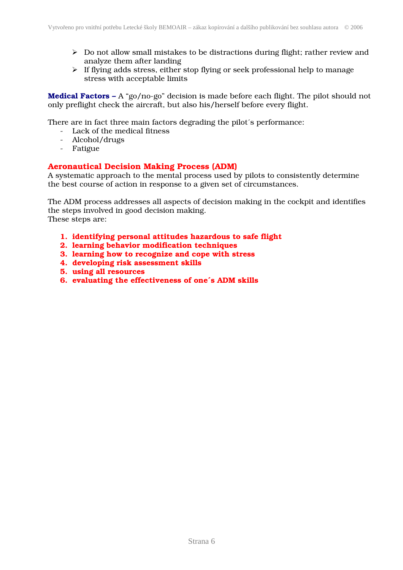- $\triangleright$  Do not allow small mistakes to be distractions during flight; rather review and analyze them after landing
- $\triangleright$  If flying adds stress, either stop flying or seek professional help to manage stress with acceptable limits

Medical Factors – A "go/no-go" decision is made before each flight. The pilot should not only preflight check the aircraft, but also his/herself before every flight.

There are in fact three main factors degrading the pilot´s performance:

- Lack of the medical fitness
- Alcohol/drugs
- Fatigue

#### Aeronautical Decision Making Process (ADM)

A systematic approach to the mental process used by pilots to consistently determine the best course of action in response to a given set of circumstances.

The ADM process addresses all aspects of decision making in the cockpit and identifies the steps involved in good decision making. These steps are:

- 1. identifying personal attitudes hazardous to safe flight
- 2. learning behavior modification techniques
- 3. learning how to recognize and cope with stress
- 4. developing risk assessment skills
- 5. using all resources
- 6. evaluating the effectiveness of one´s ADM skills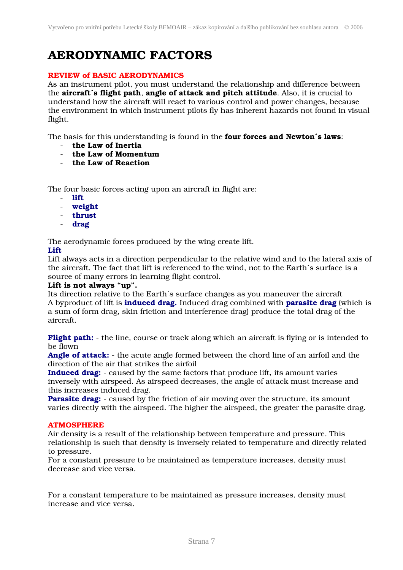## AERODYNAMIC FACTORS

#### REVIEW of BASIC AERODYNAMICS

As an instrument pilot, you must understand the relationship and difference between the aircraft´s flight path, angle of attack and pitch attitude. Also, it is crucial to understand how the aircraft will react to various control and power changes, because the environment in which instrument pilots fly has inherent hazards not found in visual flight.

The basis for this understanding is found in the **four forces and Newton's laws**:

- the Law of Inertia
- the Law of Momentum
- the Law of Reaction

The four basic forces acting upon an aircraft in flight are:

- lift
- weight
- thrust
- drag

The aerodynamic forces produced by the wing create lift.

#### Lift

Lift always acts in a direction perpendicular to the relative wind and to the lateral axis of the aircraft. The fact that lift is referenced to the wind, not to the Earth´s surface is a source of many errors in learning flight control.

#### Lift is not always "up".

Its direction relative to the Earth´s surface changes as you maneuver the aircraft A byproduct of lift is **induced drag.** Induced drag combined with **parasite drag** (which is a sum of form drag, skin friction and interference drag) produce the total drag of the aircraft.

Flight path: - the line, course or track along which an aircraft is flying or is intended to be flown

Angle of attack: - the acute angle formed between the chord line of an airfoil and the direction of the air that strikes the airfoil

Induced drag: - caused by the same factors that produce lift, its amount varies inversely with airspeed. As airspeed decreases, the angle of attack must increase and this increases induced drag.

**Parasite drag:** - caused by the friction of air moving over the structure, its amount varies directly with the airspeed. The higher the airspeed, the greater the parasite drag.

#### **ATMOSPHERE**

Air density is a result of the relationship between temperature and pressure. This relationship is such that density is inversely related to temperature and directly related to pressure.

For a constant pressure to be maintained as temperature increases, density must decrease and vice versa.

For a constant temperature to be maintained as pressure increases, density must increase and vice versa.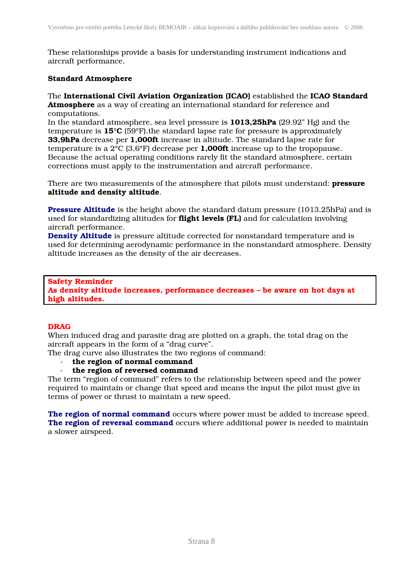These relationships provide a basis for understanding instrument indications and aircraft performance.

#### Standard Atmosphere

The International Civil Aviation Organization (ICAO) established the ICAO Standard Atmosphere as a way of creating an international standard for reference and computations.

In the standard atmosphere, sea level pressure is 1013,25hPa (29.92" Hg) and the temperature is 15°C (59°F).the standard lapse rate for pressure is approximately 33,9hPa decrease per 1,000ft increase in altitude. The standard lapse rate for temperature is a  $2^{\circ}C$  (3,6 $^{\circ}F$ ) decrease per **1,000ft** increase up to the tropopause. Because the actual operating conditions rarely fit the standard atmosphere, certain corrections must apply to the instrumentation and aircraft performance.

There are two measurements of the atmosphere that pilots must understand: **pressure** altitude and density altitude.

Pressure Altitude is the height above the standard datum pressure (1013.25hPa) and is used for standardizing altitudes for **flight levels (FL)** and for calculation involving aircraft performance.

Density Altitude is pressure altitude corrected for nonstandard temperature and is used for determining aerodynamic performance in the nonstandard atmosphere. Density altitude increases as the density of the air decreases.

#### Safety Reminder As density altitude increases, performance decreases – be aware on hot days at high altitudes.

#### DRAG

When induced drag and parasite drag are plotted on a graph, the total drag on the aircraft appears in the form of a "drag curve".

The drag curve also illustrates the two regions of command:

- the region of normal command
- the region of reversed command

The term "region of command" refers to the relationship between speed and the power required to maintain or change that speed and means the input the pilot must give in terms of power or thrust to maintain a new speed.

The region of normal command occurs where power must be added to increase speed. The region of reversal command occurs where additional power is needed to maintain a slower airspeed.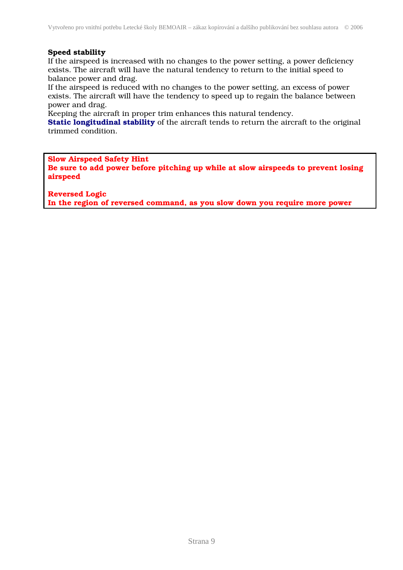#### Speed stability

If the airspeed is increased with no changes to the power setting, a power deficiency exists. The aircraft will have the natural tendency to return to the initial speed to balance power and drag.

If the airspeed is reduced with no changes to the power setting, an excess of power exists. The aircraft will have the tendency to speed up to regain the balance between power and drag.

Keeping the aircraft in proper trim enhances this natural tendency.

**Static longitudinal stability** of the aircraft tends to return the aircraft to the original trimmed condition.

Slow Airspeed Safety Hint Be sure to add power before pitching up while at slow airspeeds to prevent losing airspeed

Reversed Logic

In the region of reversed command, as you slow down you require more power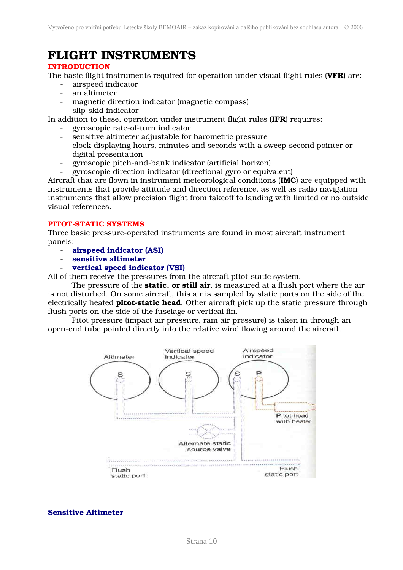## FLIGHT INSTRUMENTS

#### INTRODUCTION

The basic flight instruments required for operation under visual flight rules (VFR) are:

- airspeed indicator
- an altimeter
- magnetic direction indicator (magnetic compass)
- slip-skid indicator

In addition to these, operation under instrument flight rules (IFR) requires:

- gyroscopic rate-of-turn indicator
- sensitive altimeter adjustable for barometric pressure
- clock displaying hours, minutes and seconds with a sweep-second pointer or digital presentation
- gyroscopic pitch-and-bank indicator (artificial horizon)
- gyroscopic direction indicator (directional gyro or equivalent)

Aircraft that are flown in instrument meteorological conditions (IMC) are equipped with instruments that provide attitude and direction reference, as well as radio navigation instruments that allow precision flight from takeoff to landing with limited or no outside visual references.

#### PITOT-STATIC SYSTEMS

Three basic pressure-operated instruments are found in most aircraft instrument panels:

- airspeed indicator (ASI)
- sensitive altimeter
- vertical speed indicator (VSI)

All of them receive the pressures from the aircraft pitot-static system.

The pressure of the **static, or still air**, is measured at a flush port where the air is not disturbed. On some aircraft, this air is sampled by static ports on the side of the electrically heated **pitot-static head**. Other aircraft pick up the static pressure through flush ports on the side of the fuselage or vertical fin.

Pitot pressure (impact air pressure, ram air pressure) is taken in through an open-end tube pointed directly into the relative wind flowing around the aircraft.



Sensitive Altimeter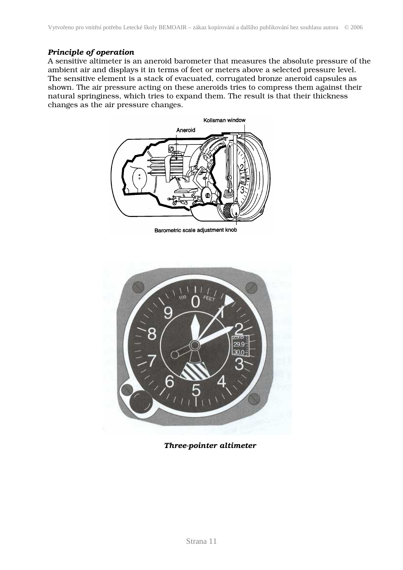#### *Principle of operation*

A sensitive altimeter is an aneroid barometer that measures the absolute pressure of the ambient air and displays it in terms of feet or meters above a selected pressure level. The sensitive element is a stack of evacuated, corrugated bronze aneroid capsules as shown. The air pressure acting on these aneroids tries to compress them against their natural springiness, which tries to expand them. The result is that their thickness changes as the air pressure changes.



Barometric scale adjustment knob



*Three-pointer altimeter*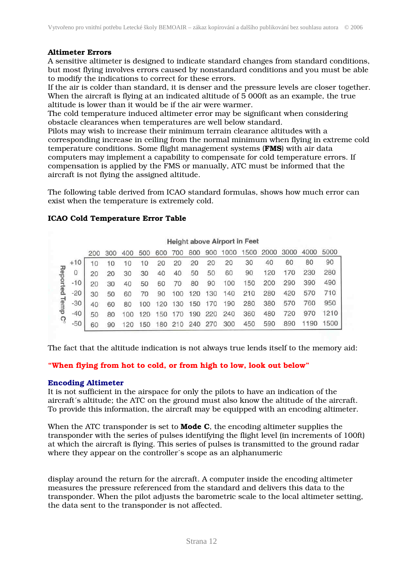#### Altimeter Errors

A sensitive altimeter is designed to indicate standard changes from standard conditions, but most flying involves errors caused by nonstandard conditions and you must be able to modify the indications to correct for these errors.

If the air is colder than standard, it is denser and the pressure levels are closer together. When the aircraft is flying at an indicated altitude of 5 000ft as an example, the true altitude is lower than it would be if the air were warmer.

The cold temperature induced altimeter error may be significant when considering obstacle clearances when temperatures are well below standard.

Pilots may wish to increase their minimum terrain clearance altitudes with a corresponding increase in ceiling from the normal minimum when flying in extreme cold temperature conditions. Some flight management systems (FMS) with air data computers may implement a capability to compensate for cold temperature errors. If compensation is applied by the FMS or manually, ATC must be informed that the aircraft is not flying the assigned altitude.

The following table derived from ICAO standard formulas, shows how much error can exist when the temperature is extremely cold.

#### ICAO Cold Temperature Error Table

|                     |       |                 |     |     |     |     |     |     |     |      | <b>Height above Airport in Feet</b> |      |      |      |      |
|---------------------|-------|-----------------|-----|-----|-----|-----|-----|-----|-----|------|-------------------------------------|------|------|------|------|
|                     |       | 200             | 300 | 400 | 500 | 600 | 700 | 800 | 900 | 1000 | 1500                                | 2000 | 3000 | 4000 | 5000 |
| Reported            | $+10$ | 10 <sup>1</sup> | 10  | 10  | 10  | 20  | 20  | 20  | 20  | 20   | 30                                  | 40   | 60   | 80   | 90   |
|                     | 0     | 20              | 20  | 30  | 30  | 40  | 40  | 50  | 50  | 60   | 90                                  | 120  | 170  | 230  | 280  |
|                     | $-10$ | 20              | 30  | 40  | 50  | 60  | 70  | 80  | 90  | 100  | 150                                 | 200  | 290  | 390  | 490  |
|                     | $-20$ | 30              | 50  | 60  | 70  | 90  | 100 | 120 | 130 | 40   | 210                                 | 280  | 420  | 570  | 710  |
|                     | $-30$ | 40              | 60  | 80  | 100 | 120 | 130 | 50  | 170 | 90   | 280                                 | 380  | 570  | 760  | 950  |
| Temp C <sup>o</sup> | $-40$ | 50              | 80  | 100 | 20  | 50  | 170 | 90  | 220 | 240  | 360                                 | 480  | 720  | 970  | 1210 |
|                     | $-50$ | 60              | 90  |     | 50  | 80  | 210 | 240 | 270 | 300  | 450                                 | 590  | 890  | 1190 | 500  |

The fact that the altitude indication is not always true lends itself to the memory aid:

#### "When flying from hot to cold, or from high to low, look out below"

#### Encoding Altimeter

It is not sufficient in the airspace for only the pilots to have an indication of the aircraft´s altitude; the ATC on the ground must also know the altitude of the aircraft. To provide this information, the aircraft may be equipped with an encoding altimeter.

When the ATC transponder is set to **Mode C**, the encoding altimeter supplies the transponder with the series of pulses identifying the flight level (in increments of 100ft) at which the aircraft is flying. This series of pulses is transmitted to the ground radar where they appear on the controller´s scope as an alphanumeric

display around the return for the aircraft. A computer inside the encoding altimeter measures the pressure referenced from the standard and delivers this data to the transponder. When the pilot adjusts the barometric scale to the local altimeter setting, the data sent to the transponder is not affected.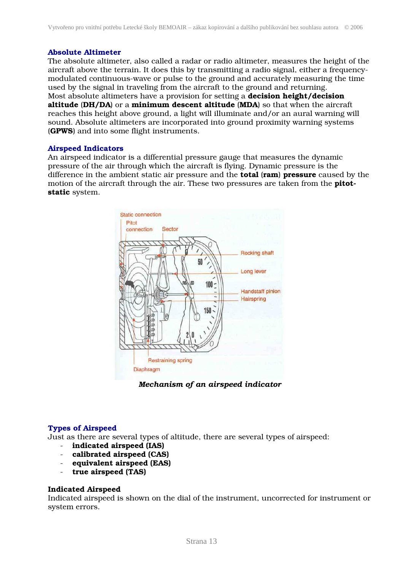#### Absolute Altimeter

The absolute altimeter, also called a radar or radio altimeter, measures the height of the aircraft above the terrain. It does this by transmitting a radio signal, either a frequencymodulated continuous-wave or pulse to the ground and accurately measuring the time used by the signal in traveling from the aircraft to the ground and returning. Most absolute altimeters have a provision for setting a **decision height/decision** altitude (DH/DA) or a minimum descent altitude (MDA) so that when the aircraft reaches this height above ground, a light will illuminate and/or an aural warning will sound. Absolute altimeters are incorporated into ground proximity warning systems (GPWS) and into some flight instruments.

#### Airspeed Indicators

An airspeed indicator is a differential pressure gauge that measures the dynamic pressure of the air through which the aircraft is flying. Dynamic pressure is the difference in the ambient static air pressure and the **total (ram) pressure** caused by the motion of the aircraft through the air. These two pressures are taken from the **pitot**static system.



*Mechanism of an airspeed indicator* 

#### Types of Airspeed

Just as there are several types of altitude, there are several types of airspeed:

- indicated airspeed (IAS)
- calibrated airspeed (CAS)
- equivalent airspeed (EAS)
- true airspeed (TAS)

#### Indicated Airspeed

Indicated airspeed is shown on the dial of the instrument, uncorrected for instrument or system errors.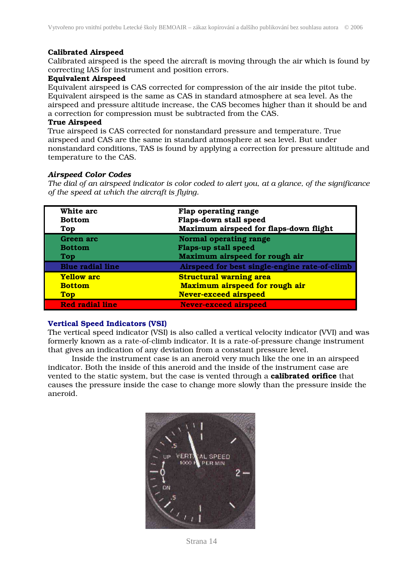#### Calibrated Airspeed

Calibrated airspeed is the speed the aircraft is moving through the air which is found by correcting IAS for instrument and position errors.

#### Equivalent Airspeed

Equivalent airspeed is CAS corrected for compression of the air inside the pitot tube. Equivalent airspeed is the same as CAS in standard atmosphere at sea level. As the airspeed and pressure altitude increase, the CAS becomes higher than it should be and a correction for compression must be subtracted from the CAS.

#### True Airspeed

True airspeed is CAS corrected for nonstandard pressure and temperature. True airspeed and CAS are the same in standard atmosphere at sea level. But under nonstandard conditions, TAS is found by applying a correction for pressure altitude and temperature to the CAS.

#### *Airspeed Color Codes*

*The dial of an airspeed indicator is color coded to alert you, at a glance, of the significance of the speed at which the aircraft is flying.* 

| White arc<br><b>Bottom</b><br><b>Top</b>         | Flap operating range<br>Flaps-down stall speed<br>Maximum airspeed for flaps-down flight         |
|--------------------------------------------------|--------------------------------------------------------------------------------------------------|
| Green arc<br><b>Bottom</b>                       | Normal operating range<br>Flaps-up stall speed<br>Maximum airspeed for rough air                 |
| <b>Top</b><br><b>Blue radial line</b>            | Airspeed for best single-engine rate-of-climb                                                    |
| <b>Yellow arc</b><br><b>Bottom</b><br><b>Top</b> | <b>Structural warning area</b><br>Maximum airspeed for rough air<br><b>Never-exceed airspeed</b> |
| <b>Red radial line</b>                           | <b>Never-exceed airspeed</b>                                                                     |

#### Vertical Speed Indicators (VSI)

The vertical speed indicator (VSI) is also called a vertical velocity indicator (VVI) and was formerly known as a rate-of-climb indicator. It is a rate-of-pressure change instrument that gives an indication of any deviation from a constant pressure level.

 Inside the instrument case is an aneroid very much like the one in an airspeed indicator. Both the inside of this aneroid and the inside of the instrument case are vented to the static system, but the case is vented through a **calibrated orifice** that causes the pressure inside the case to change more slowly than the pressure inside the aneroid.



Strana 14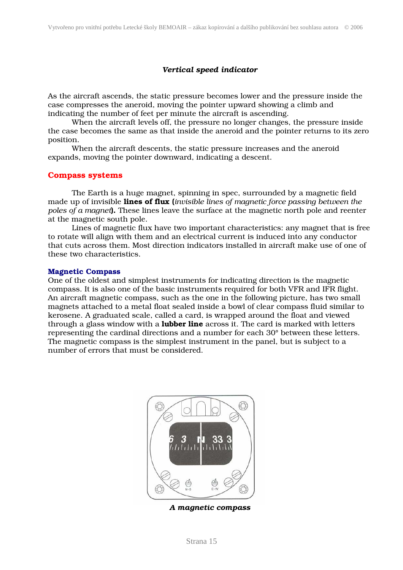#### *Vertical speed indicator*

As the aircraft ascends, the static pressure becomes lower and the pressure inside the case compresses the aneroid, moving the pointer upward showing a climb and indicating the number of feet per minute the aircraft is ascending.

When the aircraft levels off, the pressure no longer changes, the pressure inside the case becomes the same as that inside the aneroid and the pointer returns to its zero position.

 When the aircraft descents, the static pressure increases and the aneroid expands, moving the pointer downward, indicating a descent.

#### Compass systems

 The Earth is a huge magnet, spinning in spec, surrounded by a magnetic field made up of invisible lines of flux (*invisible lines of magnetic force passing between the poles of a magnet*). These lines leave the surface at the magnetic north pole and reenter at the magnetic south pole.

 Lines of magnetic flux have two important characteristics: any magnet that is free to rotate will align with them and an electrical current is induced into any conductor that cuts across them. Most direction indicators installed in aircraft make use of one of these two characteristics.

#### Magnetic Compass

One of the oldest and simplest instruments for indicating direction is the magnetic compass. It is also one of the basic instruments required for both VFR and IFR flight. An aircraft magnetic compass, such as the one in the following picture, has two small magnets attached to a metal float sealed inside a bowl of clear compass fluid similar to kerosene. A graduated scale, called a card, is wrapped around the float and viewed through a glass window with a **lubber line** across it. The card is marked with letters representing the cardinal directions and a number for each 30° between these letters. The magnetic compass is the simplest instrument in the panel, but is subject to a number of errors that must be considered.



*A magnetic compass*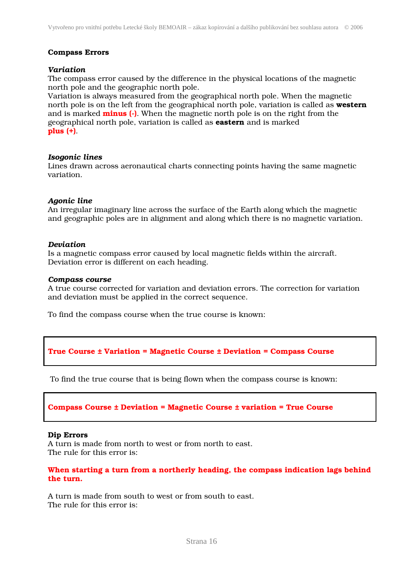#### Compass Errors

#### *Variation*

The compass error caused by the difference in the physical locations of the magnetic north pole and the geographic north pole.

Variation is always measured from the geographical north pole. When the magnetic north pole is on the left from the geographical north pole, variation is called as western and is marked **minus** (-). When the magnetic north pole is on the right from the geographical north pole, variation is called as eastern and is marked plus (+).

#### *Isogonic lines*

Lines drawn across aeronautical charts connecting points having the same magnetic variation.

#### *Agonic line*

An irregular imaginary line across the surface of the Earth along which the magnetic and geographic poles are in alignment and along which there is no magnetic variation.

#### *Deviation*

Is a magnetic compass error caused by local magnetic fields within the aircraft. Deviation error is different on each heading.

#### *Compass course*

A true course corrected for variation and deviation errors. The correction for variation and deviation must be applied in the correct sequence.

To find the compass course when the true course is known:

#### True Course ± Variation = Magnetic Course ± Deviation = Compass Course

To find the true course that is being flown when the compass course is known:

#### Compass Course ± Deviation = Magnetic Course ± variation = True Course

#### Dip Errors

A turn is made from north to west or from north to east. The rule for this error is:

#### When starting a turn from a northerly heading, the compass indication lags behind the turn.

A turn is made from south to west or from south to east. The rule for this error is: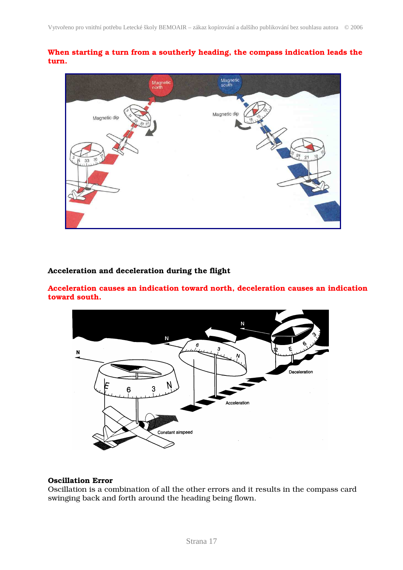When starting a turn from a southerly heading, the compass indication leads the turn.



#### Acceleration and deceleration during the flight

Acceleration causes an indication toward north, deceleration causes an indication toward south.



#### Oscillation Error

Oscillation is a combination of all the other errors and it results in the compass card swinging back and forth around the heading being flown.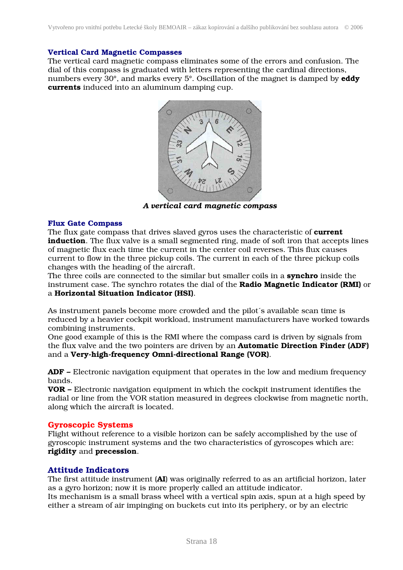#### Vertical Card Magnetic Compasses

The vertical card magnetic compass eliminates some of the errors and confusion. The dial of this compass is graduated with letters representing the cardinal directions, numbers every 30°, and marks every 5°. Oscillation of the magnet is damped by **eddy** currents induced into an aluminum damping cup.



*A vertical card magnetic compass*

#### Flux Gate Compass

The flux gate compass that drives slaved gyros uses the characteristic of current induction. The flux valve is a small segmented ring, made of soft iron that accepts lines of magnetic flux each time the current in the center coil reverses. This flux causes current to flow in the three pickup coils. The current in each of the three pickup coils changes with the heading of the aircraft.

The three coils are connected to the similar but smaller coils in a **synchro** inside the instrument case. The synchro rotates the dial of the Radio Magnetic Indicator (RMI) or a Horizontal Situation Indicator (HSI).

As instrument panels become more crowded and the pilot´s available scan time is reduced by a heavier cockpit workload, instrument manufacturers have worked towards combining instruments.

One good example of this is the RMI where the compass card is driven by signals from the flux valve and the two pointers are driven by an Automatic Direction Finder (ADF) and a Very-high-frequency Omni-directional Range (VOR).

ADF – Electronic navigation equipment that operates in the low and medium frequency bands.

VOR – Electronic navigation equipment in which the cockpit instrument identifies the radial or line from the VOR station measured in degrees clockwise from magnetic north, along which the aircraft is located.

#### Gyroscopic Systems

Flight without reference to a visible horizon can be safely accomplished by the use of gyroscopic instrument systems and the two characteristics of gyroscopes which are: rigidity and precession.

#### Attitude Indicators

The first attitude instrument (AI) was originally referred to as an artificial horizon, later as a gyro horizon; now it is more properly called an attitude indicator. Its mechanism is a small brass wheel with a vertical spin axis, spun at a high speed by either a stream of air impinging on buckets cut into its periphery, or by an electric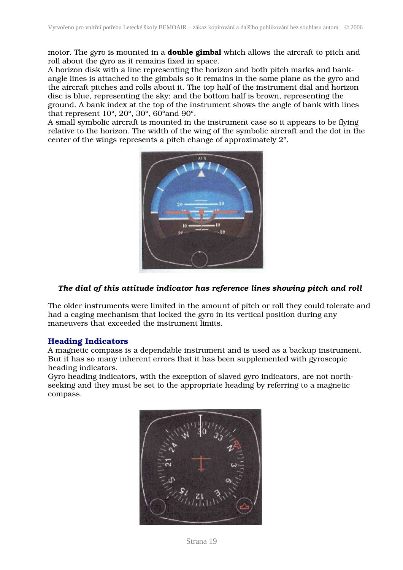motor. The gyro is mounted in a **double gimbal** which allows the aircraft to pitch and roll about the gyro as it remains fixed in space.

A horizon disk with a line representing the horizon and both pitch marks and bankangle lines is attached to the gimbals so it remains in the same plane as the gyro and the aircraft pitches and rolls about it. The top half of the instrument dial and horizon disc is blue, representing the sky; and the bottom half is brown, representing the ground. A bank index at the top of the instrument shows the angle of bank with lines that represent 10°, 20°, 30°, 60°and 90°.

A small symbolic aircraft is mounted in the instrument case so it appears to be flying relative to the horizon. The width of the wing of the symbolic aircraft and the dot in the center of the wings represents a pitch change of approximately 2°.



#### *The dial of this attitude indicator has reference lines showing pitch and roll*

The older instruments were limited in the amount of pitch or roll they could tolerate and had a caging mechanism that locked the gyro in its vertical position during any maneuvers that exceeded the instrument limits.

#### Heading Indicators

A magnetic compass is a dependable instrument and is used as a backup instrument. But it has so many inherent errors that it has been supplemented with gyroscopic heading indicators.

Gyro heading indicators, with the exception of slaved gyro indicators, are not northseeking and they must be set to the appropriate heading by referring to a magnetic compass.

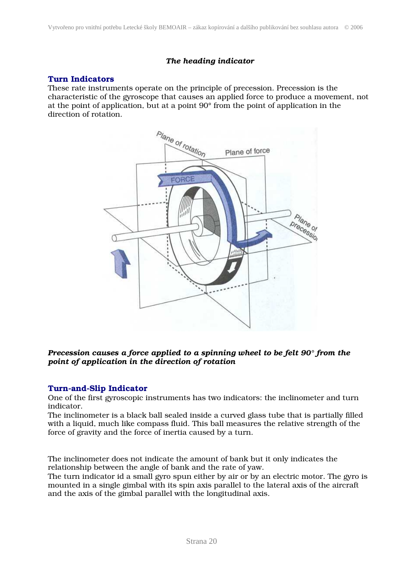#### *The heading indicator*

#### Turn Indicators

These rate instruments operate on the principle of precession. Precession is the characteristic of the gyroscope that causes an applied force to produce a movement, not at the point of application, but at a point 90° from the point of application in the direction of rotation.



#### *Precession causes a force applied to a spinning wheel to be felt 90° from the point of application in the direction of rotation*

#### Turn-and-Slip Indicator

One of the first gyroscopic instruments has two indicators: the inclinometer and turn indicator.

The inclinometer is a black ball sealed inside a curved glass tube that is partially filled with a liquid, much like compass fluid. This ball measures the relative strength of the force of gravity and the force of inertia caused by a turn.

The inclinometer does not indicate the amount of bank but it only indicates the relationship between the angle of bank and the rate of yaw.

The turn indicator id a small gyro spun either by air or by an electric motor. The gyro is mounted in a single gimbal with its spin axis parallel to the lateral axis of the aircraft and the axis of the gimbal parallel with the longitudinal axis.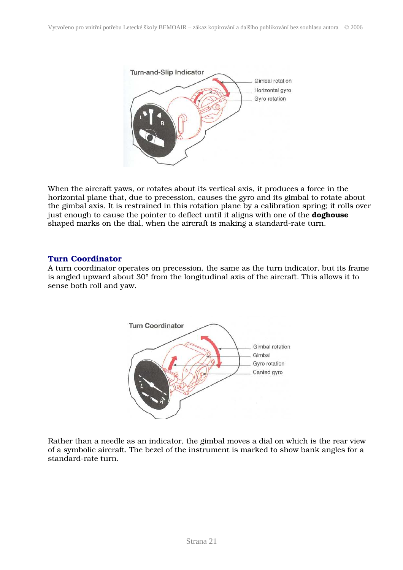

When the aircraft yaws, or rotates about its vertical axis, it produces a force in the horizontal plane that, due to precession, causes the gyro and its gimbal to rotate about the gimbal axis. It is restrained in this rotation plane by a calibration spring; it rolls over just enough to cause the pointer to deflect until it aligns with one of the **doghouse** shaped marks on the dial, when the aircraft is making a standard-rate turn.

#### Turn Coordinator

A turn coordinator operates on precession, the same as the turn indicator, but its frame is angled upward about 30° from the longitudinal axis of the aircraft. This allows it to sense both roll and yaw.



Rather than a needle as an indicator, the gimbal moves a dial on which is the rear view of a symbolic aircraft. The bezel of the instrument is marked to show bank angles for a standard-rate turn.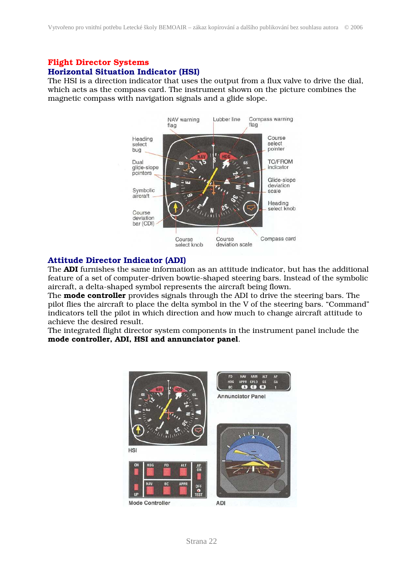#### Flight Director Systems Horizontal Situation Indicator (HSI)

The HSI is a direction indicator that uses the output from a flux valve to drive the dial, which acts as the compass card. The instrument shown on the picture combines the magnetic compass with navigation signals and a glide slope.



#### Attitude Director Indicator (ADI)

The ADI furnishes the same information as an attitude indicator, but has the additional feature of a set of computer-driven bowtie-shaped steering bars. Instead of the symbolic aircraft, a delta-shaped symbol represents the aircraft being flown.

The **mode controller** provides signals through the ADI to drive the steering bars. The pilot flies the aircraft to place the delta symbol in the V of the steering bars. "Command" indicators tell the pilot in which direction and how much to change aircraft attitude to achieve the desired result.

The integrated flight director system components in the instrument panel include the mode controller, ADI, HSI and annunciator panel.

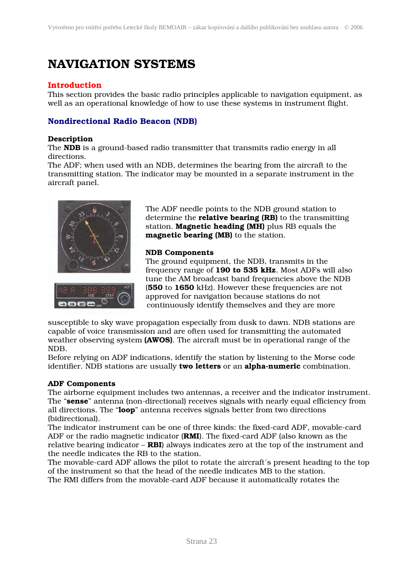## NAVIGATION SYSTEMS

#### Introduction

This section provides the basic radio principles applicable to navigation equipment, as well as an operational knowledge of how to use these systems in instrument flight.

#### Nondirectional Radio Beacon (NDB)

#### Description

The NDB is a ground-based radio transmitter that transmits radio energy in all directions.

The ADF; when used with an NDB, determines the bearing from the aircraft to the transmitting station. The indicator may be mounted in a separate instrument in the aircraft panel.



 The ADF needle points to the NDB ground station to determine the **relative bearing (RB)** to the transmitting station. **Magnetic heading (MH)** plus RB equals the magnetic bearing (MB) to the station.

#### NDB Components

 The ground equipment, the NDB, transmits in the frequency range of 190 to 535 kHz. Most ADFs will also tune the AM broadcast band frequencies above the NDB (550 to 1650 kHz). However these frequencies are not approved for navigation because stations do not continuously identify themselves and they are more

susceptible to sky wave propagation especially from dusk to dawn. NDB stations are capable of voice transmission and are often used for transmitting the automated weather observing system (AWOS). The aircraft must be in operational range of the NDB.

Before relying on ADF indications, identify the station by listening to the Morse code identifier. NDB stations are usually two letters or an alpha-numeric combination.

#### ADF Components

The airborne equipment includes two antennas, a receiver and the indicator instrument. The "sense" antenna (non-directional) receives signals with nearly equal efficiency from all directions. The "loop" antenna receives signals better from two directions (bidirectional).

The indicator instrument can be one of three kinds: the fixed-card ADF, movable-card ADF or the radio magnetic indicator (RMI). The fixed-card ADF (also known as the relative bearing indicator  $-$  RBI) always indicates zero at the top of the instrument and the needle indicates the RB to the station.

The movable-card ADF allows the pilot to rotate the aircraft´s present heading to the top of the instrument so that the head of the needle indicates MB to the station. The RMI differs from the movable-card ADF because it automatically rotates the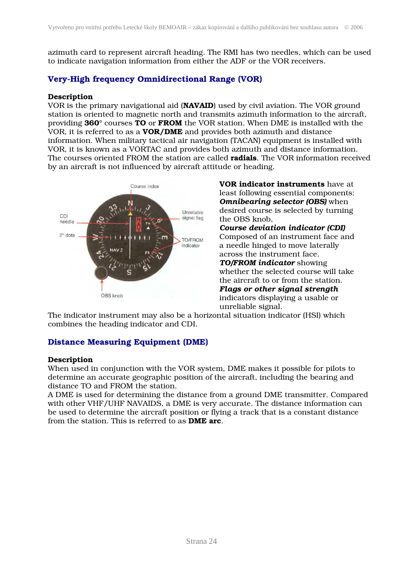azimuth card to represent aircraft heading. The RMI has two needles, which can be used to indicate navigation information from either the ADF or the VOR receivers.

#### Very-High frequency Omnidirectional Range (VOR)

#### Description

VOR is the primary navigational aid (NAVAID) used by civil aviation. The VOR ground station is oriented to magnetic north and transmits azimuth information to the aircraft, providing 360° courses TO or FROM the VOR station. When DME is installed with the VOR, it is referred to as a VOR/DME and provides both azimuth and distance information. When military tactical air navigation (TACAN) equipment is installed with VOR, it is known as a VORTAC and provides both azimuth and distance information. The courses oriented FROM the station are called **radials**. The VOR information received by an aircraft is not influenced by aircraft attitude or heading.



Course index **VOR indicator instruments** have at least following essential components: *Omnibearing selector (OBS)* when *Course deviation indicator (CDI)* a needle hinged to move laterally across the instrument face. *TO/FROM indicator* showing whether the selected course will take the aircraft to or from the station. *Flags or other signal strength Flags or other signal strength*  indicators displaying a usable or unreliable signal.

The indicator instrument may also be a horizontal situation indicator (HSI) which combines the heading indicator and CDI.

#### Distance Measuring Equipment (DME)

#### **Description**

When used in conjunction with the VOR system, DME makes it possible for pilots to determine an accurate geographic position of the aircraft, including the bearing and distance TO and FROM the station.

A DME is used for determining the distance from a ground DME transmitter. Compared with other VHF/UHF NAVAIDS, a DME is very accurate. The distance information can be used to determine the aircraft position or flying a track that is a constant distance from the station. This is referred to as DME arc.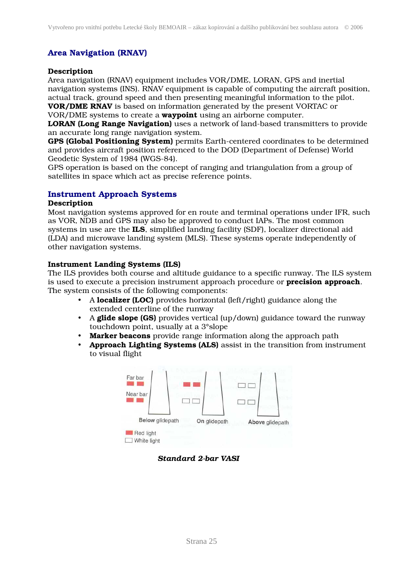#### Area Navigation (RNAV)

#### Description

Area navigation (RNAV) equipment includes VOR/DME, LORAN, GPS and inertial navigation systems (INS). RNAV equipment is capable of computing the aircraft position, actual track, ground speed and then presenting meaningful information to the pilot. VOR/DME RNAV is based on information generated by the present VORTAC or

VOR/DME systems to create a waypoint using an airborne computer.

LORAN (Long Range Navigation) uses a network of land-based transmitters to provide an accurate long range navigation system.

GPS (Global Positioning System) permits Earth-centered coordinates to be determined and provides aircraft position referenced to the DOD (Department of Defense) World Geodetic System of 1984 (WGS-84).

GPS operation is based on the concept of ranging and triangulation from a group of satellites in space which act as precise reference points.

#### Instrument Approach Systems

#### Description

Most navigation systems approved for en route and terminal operations under IFR, such as VOR, NDB and GPS may also be approved to conduct IAPs. The most common systems in use are the ILS, simplified landing facility (SDF), localizer directional aid (LDA) and microwave landing system (MLS). These systems operate independently of other navigation systems.

#### Instrument Landing Systems (ILS)

The ILS provides both course and altitude guidance to a specific runway. The ILS system is used to execute a precision instrument approach procedure or **precision approach**. The system consists of the following components:

- A localizer (LOC) provides horizontal (left/right) guidance along the extended centerline of the runway
- A glide slope (GS) provides vertical (up/down) guidance toward the runway touchdown point, usually at a 3°slope
- Marker beacons provide range information along the approach path
- Approach Lighting Systems (ALS) assist in the transition from instrument to visual flight



#### *Standard 2-bar VASI*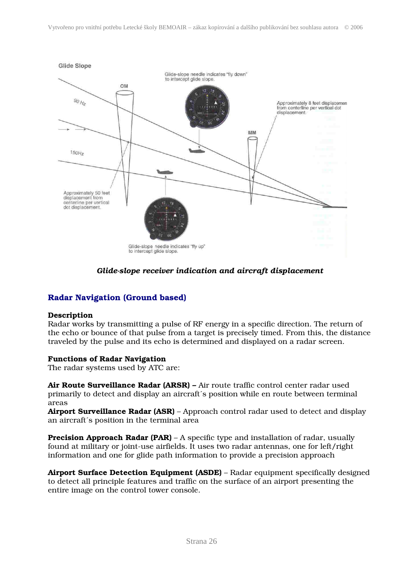

#### *Glide-slope receiver indication and aircraft displacement*

#### Radar Navigation (Ground based)

#### Description

Radar works by transmitting a pulse of RF energy in a specific direction. The return of the echo or bounce of that pulse from a target is precisely timed. From this, the distance traveled by the pulse and its echo is determined and displayed on a radar screen.

#### Functions of Radar Navigation

The radar systems used by ATC are:

Air Route Surveillance Radar (ARSR) – Air route traffic control center radar used primarily to detect and display an aircraft´s position while en route between terminal areas

Airport Surveillance Radar (ASR) – Approach control radar used to detect and display an aircraft´s position in the terminal area

**Precision Approach Radar (PAR)** – A specific type and installation of radar, usually found at military or joint-use airfields. It uses two radar antennas, one for left/right information and one for glide path information to provide a precision approach

Airport Surface Detection Equipment (ASDE) – Radar equipment specifically designed to detect all principle features and traffic on the surface of an airport presenting the entire image on the control tower console.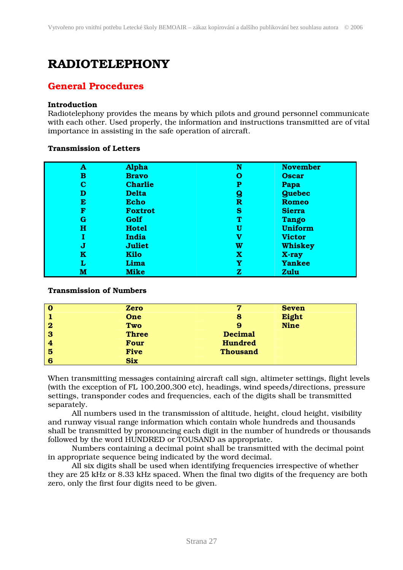## RADIOTELEPHONY

#### General Procedures

#### Introduction

Radiotelephony provides the means by which pilots and ground personnel communicate with each other. Used properly, the information and instructions transmitted are of vital importance in assisting in the safe operation of aircraft.

#### Transmission of Letters

| A | <b>Alpha</b>   | N | <b>November</b> |
|---|----------------|---|-----------------|
| в | <b>Bravo</b>   | О | <b>Oscar</b>    |
| С | <b>Charlie</b> | P | Papa            |
| D | <b>Delta</b>   | g | <b>Quebec</b>   |
| Е | <b>Echo</b>    | R | <b>Romeo</b>    |
| F | <b>Foxtrot</b> | s | <b>Sierra</b>   |
| G | Golf           | т | <b>Tango</b>    |
| н | <b>Hotel</b>   | U | <b>Uniform</b>  |
|   | India          | v | <b>Victor</b>   |
| J | <b>Juliet</b>  | W | <b>Whiskey</b>  |
| ĸ | <b>Kilo</b>    | x | X-ray           |
| L | Lima           | Y | <b>Yankee</b>   |
| м | <b>Mike</b>    | z | <b>Zulu</b>     |

#### Transmission of Numbers

| O        | <b>Zero</b>  | 7               | <b>Seven</b> |
|----------|--------------|-----------------|--------------|
|          | One          | 8               | Eight        |
| $\bf{2}$ | Two          | 9               | <b>Nine</b>  |
| 3        | <b>Three</b> | <b>Decimal</b>  |              |
| 4        | <b>Four</b>  | <b>Hundred</b>  |              |
| 5        | <b>Five</b>  | <b>Thousand</b> |              |
| 6        | <b>Six</b>   |                 |              |

When transmitting messages containing aircraft call sign, altimeter settings, flight levels (with the exception of FL 100,200,300 etc), headings, wind speeds/directions, pressure settings, transponder codes and frequencies, each of the digits shall be transmitted separately.

All numbers used in the transmission of altitude, height, cloud height, visibility and runway visual range information which contain whole hundreds and thousands shall be transmitted by pronouncing each digit in the number of hundreds or thousands followed by the word HUNDRED or TOUSAND as appropriate.

Numbers containing a decimal point shall be transmitted with the decimal point in appropriate sequence being indicated by the word decimal.

All six digits shall be used when identifying frequencies irrespective of whether they are 25 kHz or 8.33 kHz spaced. When the final two digits of the frequency are both zero, only the first four digits need to be given.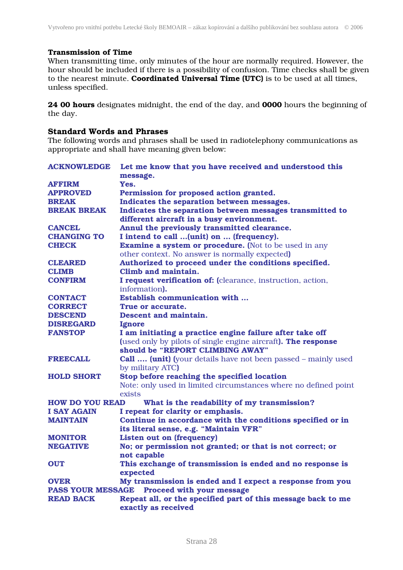#### Transmission of Time

When transmitting time, only minutes of the hour are normally required. However, the hour should be included if there is a possibility of confusion. Time checks shall be given to the nearest minute. Coordinated Universal Time (UTC) is to be used at all times, unless specified.

24 00 hours designates midnight, the end of the day, and 0000 hours the beginning of the day.

#### Standard Words and Phrases

The following words and phrases shall be used in radiotelephony communications as appropriate and shall have meaning given below:

| <b>ACKNOWLEDGE</b>       | Let me know that you have received and understood this               |  |  |  |
|--------------------------|----------------------------------------------------------------------|--|--|--|
|                          | message.                                                             |  |  |  |
| <b>AFFIRM</b>            | Yes.                                                                 |  |  |  |
| <b>APPROVED</b>          | Permission for proposed action granted.                              |  |  |  |
| <b>BREAK</b>             | Indicates the separation between messages.                           |  |  |  |
| <b>BREAK BREAK</b>       | Indicates the separation between messages transmitted to             |  |  |  |
|                          | different aircraft in a busy environment.                            |  |  |  |
| <b>CANCEL</b>            | Annul the previously transmitted clearance.                          |  |  |  |
| <b>CHANGING TO</b>       | I intend to call (unit) on  (frequency).                             |  |  |  |
| <b>CHECK</b>             | <b>Examine a system or procedure.</b> (Not to be used in any         |  |  |  |
|                          | other context. No answer is normally expected)                       |  |  |  |
| <b>CLEARED</b>           | Authorized to proceed under the conditions specified.                |  |  |  |
| <b>CLIMB</b>             | Climb and maintain.                                                  |  |  |  |
| <b>CONFIRM</b>           | I request verification of: (clearance, instruction, action,          |  |  |  |
|                          | information).                                                        |  |  |  |
| <b>CONTACT</b>           | <b>Establish communication with </b>                                 |  |  |  |
| <b>CORRECT</b>           | True or accurate.                                                    |  |  |  |
| <b>DESCEND</b>           | Descent and maintain.                                                |  |  |  |
| <b>DISREGARD</b>         | Ignore                                                               |  |  |  |
| <b>FANSTOP</b>           | I am initiating a practice engine failure after take off             |  |  |  |
|                          | (used only by pilots of single engine aircraft). The response        |  |  |  |
|                          | should be "REPORT CLIMBING AWAY"                                     |  |  |  |
| <b>FREECALL</b>          | <b>Call  (unit)</b> (your details have not been passed – mainly used |  |  |  |
|                          | by military ATC)                                                     |  |  |  |
| <b>HOLD SHORT</b>        | Stop before reaching the specified location                          |  |  |  |
|                          | Note: only used in limited circumstances where no defined point      |  |  |  |
|                          | exists                                                               |  |  |  |
| <b>HOW DO YOU READ</b>   | What is the readability of my transmission?                          |  |  |  |
| <b>I SAY AGAIN</b>       | I repeat for clarity or emphasis.                                    |  |  |  |
| <b>MAINTAIN</b>          | Continue in accordance with the conditions specified or in           |  |  |  |
|                          | its literal sense, e.g. "Maintain VFR"                               |  |  |  |
| <b>MONITOR</b>           | <b>Listen out on (frequency)</b>                                     |  |  |  |
| <b>NEGATIVE</b>          | No; or permission not granted; or that is not correct; or            |  |  |  |
|                          | not capable                                                          |  |  |  |
| <b>OUT</b>               | This exchange of transmission is ended and no response is            |  |  |  |
|                          | expected                                                             |  |  |  |
| <b>OVER</b>              | My transmission is ended and I expect a response from you            |  |  |  |
| <b>PASS YOUR MESSAGE</b> | Proceed with your message                                            |  |  |  |
| <b>READ BACK</b>         | Repeat all, or the specified part of this message back to me         |  |  |  |
|                          | exactly as received                                                  |  |  |  |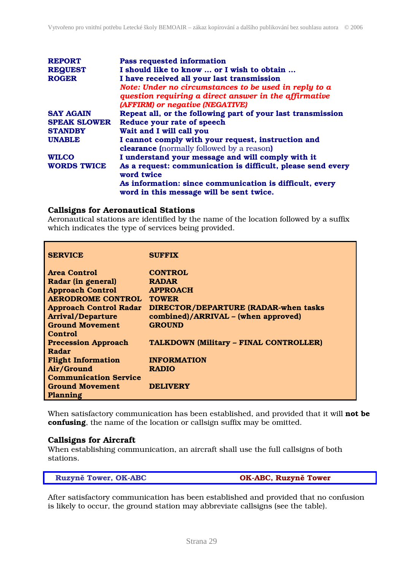| <b>REPORT</b><br><b>REQUEST</b><br><b>ROGER</b> | <b>Pass requested information</b><br>I should like to know  or I wish to obtain<br>I have received all your last transmission<br>Note: Under no circumstances to be used in reply to a<br>question requiring a direct answer in the affirmative |
|-------------------------------------------------|-------------------------------------------------------------------------------------------------------------------------------------------------------------------------------------------------------------------------------------------------|
| <b>SAY AGAIN</b>                                | (AFFIRM) or negative (NEGATIVE)<br>Repeat all, or the following part of your last transmission                                                                                                                                                  |
| <b>SPEAK SLOWER</b>                             | Reduce your rate of speech                                                                                                                                                                                                                      |
|                                                 |                                                                                                                                                                                                                                                 |
| <b>STANDBY</b>                                  | Wait and I will call you                                                                                                                                                                                                                        |
| <b>UNABLE</b>                                   | I cannot comply with your request, instruction and                                                                                                                                                                                              |
|                                                 | <b>clearance</b> (normally followed by a reason)                                                                                                                                                                                                |
| <b>WILCO</b>                                    | I understand your message and will comply with it                                                                                                                                                                                               |
| <b>WORDS TWICE</b>                              | As a request: communication is difficult, please send every<br>word twice                                                                                                                                                                       |
|                                                 | As information: since communication is difficult, every<br>word in this message will be sent twice.                                                                                                                                             |

#### Callsigns for Aeronautical Stations

Aeronautical stations are identified by the name of the location followed by a suffix which indicates the type of services being provided.

| <b>SERVICE</b>                | <b>SUFFIX</b>                                 |
|-------------------------------|-----------------------------------------------|
|                               |                                               |
| <b>Area Control</b>           | <b>CONTROL</b>                                |
| Radar (in general)            | <b>RADAR</b>                                  |
| <b>Approach Control</b>       | <b>APPROACH</b>                               |
| <b>AERODROME CONTROL</b>      | <b>TOWER</b>                                  |
| <b>Approach Control Radar</b> | <b>DIRECTOR/DEPARTURE (RADAR-when tasks</b>   |
| <b>Arrival/Departure</b>      | combined)/ARRIVAL - (when approved)           |
| <b>Ground Movement</b>        | <b>GROUND</b>                                 |
| <b>Control</b>                |                                               |
| <b>Precession Approach</b>    | <b>TALKDOWN (Military - FINAL CONTROLLER)</b> |
| Radar                         |                                               |
| <b>Flight Information</b>     | <b>INFORMATION</b>                            |
| Air/Ground                    | <b>RADIO</b>                                  |
| <b>Communication Service</b>  |                                               |
| <b>Ground Movement</b>        | <b>DELIVERY</b>                               |
| Planning                      |                                               |

When satisfactory communication has been established, and provided that it will not be confusing, the name of the location or callsign suffix may be omitted.

#### Callsigns for Aircraft

When establishing communication, an aircraft shall use the full callsigns of both stations.

Ruzyn**ě** Tower, OK-ABC OK-ABC, Ruzyn**ě** Tower

After satisfactory communication has been established and provided that no confusion is likely to occur, the ground station may abbreviate callsigns (see the table).